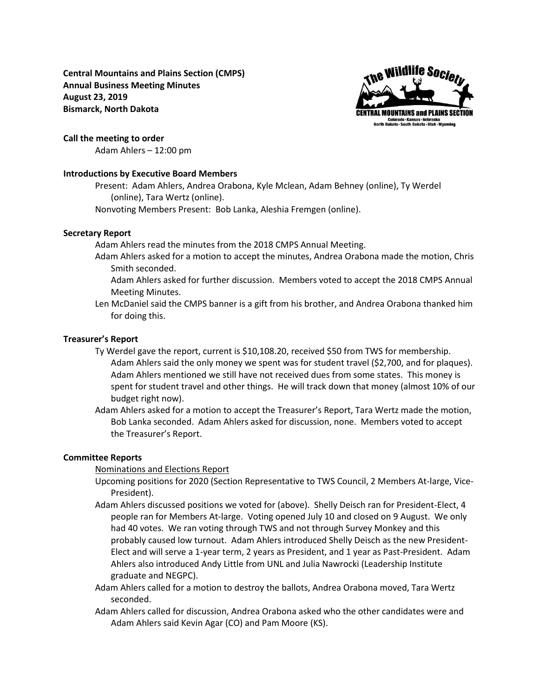**Central Mountains and Plains Section (CMPS) Annual Business Meeting Minutes August 23, 2019 Bismarck, North Dakota**



### **Call the meeting to order**

Adam Ahlers – 12:00 pm

## **Introductions by Executive Board Members**

Present: Adam Ahlers, Andrea Orabona, Kyle Mclean, Adam Behney (online), Ty Werdel (online), Tara Wertz (online).

Nonvoting Members Present: Bob Lanka, Aleshia Fremgen (online).

### **Secretary Report**

Adam Ahlers read the minutes from the 2018 CMPS Annual Meeting.

- Adam Ahlers asked for a motion to accept the minutes, Andrea Orabona made the motion, Chris Smith seconded.
	- Adam Ahlers asked for further discussion. Members voted to accept the 2018 CMPS Annual Meeting Minutes.
- Len McDaniel said the CMPS banner is a gift from his brother, and Andrea Orabona thanked him for doing this.

## **Treasurer's Report**

- Ty Werdel gave the report, current is \$10,108.20, received \$50 from TWS for membership. Adam Ahlers said the only money we spent was for student travel (\$2,700, and for plaques). Adam Ahlers mentioned we still have not received dues from some states. This money is spent for student travel and other things. He will track down that money (almost 10% of our budget right now).
- Adam Ahlers asked for a motion to accept the Treasurer's Report, Tara Wertz made the motion, Bob Lanka seconded. Adam Ahlers asked for discussion, none. Members voted to accept the Treasurer's Report.

### **Committee Reports**

Nominations and Elections Report

- Upcoming positions for 2020 (Section Representative to TWS Council, 2 Members At-large, Vice-President).
- Adam Ahlers discussed positions we voted for (above). Shelly Deisch ran for President-Elect, 4 people ran for Members At-large. Voting opened July 10 and closed on 9 August. We only had 40 votes. We ran voting through TWS and not through Survey Monkey and this probably caused low turnout. Adam Ahlers introduced Shelly Deisch as the new President-Elect and will serve a 1-year term, 2 years as President, and 1 year as Past-President. Adam Ahlers also introduced Andy Little from UNL and Julia Nawrocki (Leadership Institute graduate and NEGPC).
- Adam Ahlers called for a motion to destroy the ballots, Andrea Orabona moved, Tara Wertz seconded.
- Adam Ahlers called for discussion, Andrea Orabona asked who the other candidates were and Adam Ahlers said Kevin Agar (CO) and Pam Moore (KS).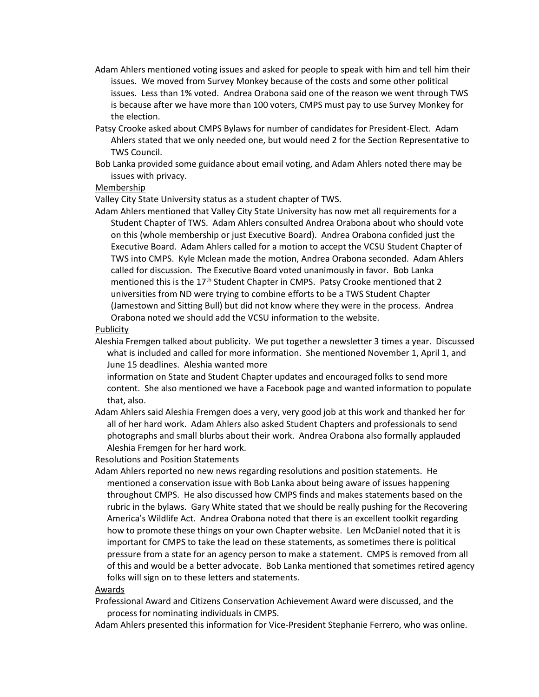- Adam Ahlers mentioned voting issues and asked for people to speak with him and tell him their issues. We moved from Survey Monkey because of the costs and some other political issues. Less than 1% voted. Andrea Orabona said one of the reason we went through TWS is because after we have more than 100 voters, CMPS must pay to use Survey Monkey for the election.
- Patsy Crooke asked about CMPS Bylaws for number of candidates for President-Elect. Adam Ahlers stated that we only needed one, but would need 2 for the Section Representative to TWS Council.
- Bob Lanka provided some guidance about email voting, and Adam Ahlers noted there may be issues with privacy.

## Membership

Valley City State University status as a student chapter of TWS.

Adam Ahlers mentioned that Valley City State University has now met all requirements for a Student Chapter of TWS. Adam Ahlers consulted Andrea Orabona about who should vote on this (whole membership or just Executive Board). Andrea Orabona confided just the Executive Board. Adam Ahlers called for a motion to accept the VCSU Student Chapter of TWS into CMPS. Kyle Mclean made the motion, Andrea Orabona seconded. Adam Ahlers called for discussion. The Executive Board voted unanimously in favor. Bob Lanka mentioned this is the 17<sup>th</sup> Student Chapter in CMPS. Patsy Crooke mentioned that 2 universities from ND were trying to combine efforts to be a TWS Student Chapter (Jamestown and Sitting Bull) but did not know where they were in the process. Andrea Orabona noted we should add the VCSU information to the website.

## Publicity

Aleshia Fremgen talked about publicity. We put together a newsletter 3 times a year. Discussed what is included and called for more information. She mentioned November 1, April 1, and June 15 deadlines. Aleshia wanted more

information on State and Student Chapter updates and encouraged folks to send more content. She also mentioned we have a Facebook page and wanted information to populate that, also.

Adam Ahlers said Aleshia Fremgen does a very, very good job at this work and thanked her for all of her hard work. Adam Ahlers also asked Student Chapters and professionals to send photographs and small blurbs about their work. Andrea Orabona also formally applauded Aleshia Fremgen for her hard work.

Resolutions and Position Statements

Adam Ahlers reported no new news regarding resolutions and position statements. He mentioned a conservation issue with Bob Lanka about being aware of issues happening throughout CMPS. He also discussed how CMPS finds and makes statements based on the rubric in the bylaws. Gary White stated that we should be really pushing for the Recovering America's Wildlife Act. Andrea Orabona noted that there is an excellent toolkit regarding how to promote these things on your own Chapter website. Len McDaniel noted that it is important for CMPS to take the lead on these statements, as sometimes there is political pressure from a state for an agency person to make a statement. CMPS is removed from all of this and would be a better advocate. Bob Lanka mentioned that sometimes retired agency folks will sign on to these letters and statements.

# Awards

- Professional Award and Citizens Conservation Achievement Award were discussed, and the process for nominating individuals in CMPS.
- Adam Ahlers presented this information for Vice-President Stephanie Ferrero, who was online.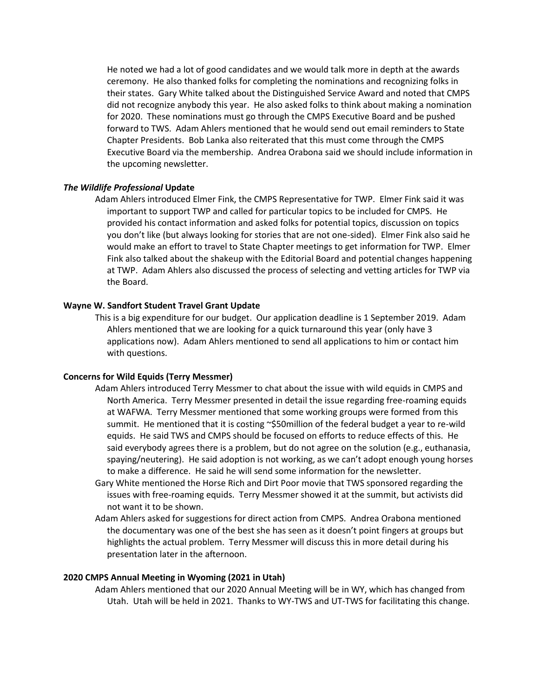He noted we had a lot of good candidates and we would talk more in depth at the awards ceremony. He also thanked folks for completing the nominations and recognizing folks in their states. Gary White talked about the Distinguished Service Award and noted that CMPS did not recognize anybody this year. He also asked folks to think about making a nomination for 2020. These nominations must go through the CMPS Executive Board and be pushed forward to TWS. Adam Ahlers mentioned that he would send out email reminders to State Chapter Presidents. Bob Lanka also reiterated that this must come through the CMPS Executive Board via the membership. Andrea Orabona said we should include information in the upcoming newsletter.

### *The Wildlife Professional* **Update**

Adam Ahlers introduced Elmer Fink, the CMPS Representative for TWP. Elmer Fink said it was important to support TWP and called for particular topics to be included for CMPS. He provided his contact information and asked folks for potential topics, discussion on topics you don't like (but always looking for stories that are not one-sided). Elmer Fink also said he would make an effort to travel to State Chapter meetings to get information for TWP. Elmer Fink also talked about the shakeup with the Editorial Board and potential changes happening at TWP. Adam Ahlers also discussed the process of selecting and vetting articles for TWP via the Board.

### **Wayne W. Sandfort Student Travel Grant Update**

This is a big expenditure for our budget. Our application deadline is 1 September 2019. Adam Ahlers mentioned that we are looking for a quick turnaround this year (only have 3 applications now). Adam Ahlers mentioned to send all applications to him or contact him with questions.

### **Concerns for Wild Equids (Terry Messmer)**

- Adam Ahlers introduced Terry Messmer to chat about the issue with wild equids in CMPS and North America. Terry Messmer presented in detail the issue regarding free-roaming equids at WAFWA. Terry Messmer mentioned that some working groups were formed from this summit. He mentioned that it is costing ~\$50million of the federal budget a year to re-wild equids. He said TWS and CMPS should be focused on efforts to reduce effects of this. He said everybody agrees there is a problem, but do not agree on the solution (e.g., euthanasia, spaying/neutering). He said adoption is not working, as we can't adopt enough young horses to make a difference. He said he will send some information for the newsletter.
- Gary White mentioned the Horse Rich and Dirt Poor movie that TWS sponsored regarding the issues with free-roaming equids. Terry Messmer showed it at the summit, but activists did not want it to be shown.
- Adam Ahlers asked for suggestions for direct action from CMPS. Andrea Orabona mentioned the documentary was one of the best she has seen as it doesn't point fingers at groups but highlights the actual problem. Terry Messmer will discuss this in more detail during his presentation later in the afternoon.

#### **2020 CMPS Annual Meeting in Wyoming (2021 in Utah)**

Adam Ahlers mentioned that our 2020 Annual Meeting will be in WY, which has changed from Utah. Utah will be held in 2021. Thanks to WY-TWS and UT-TWS for facilitating this change.